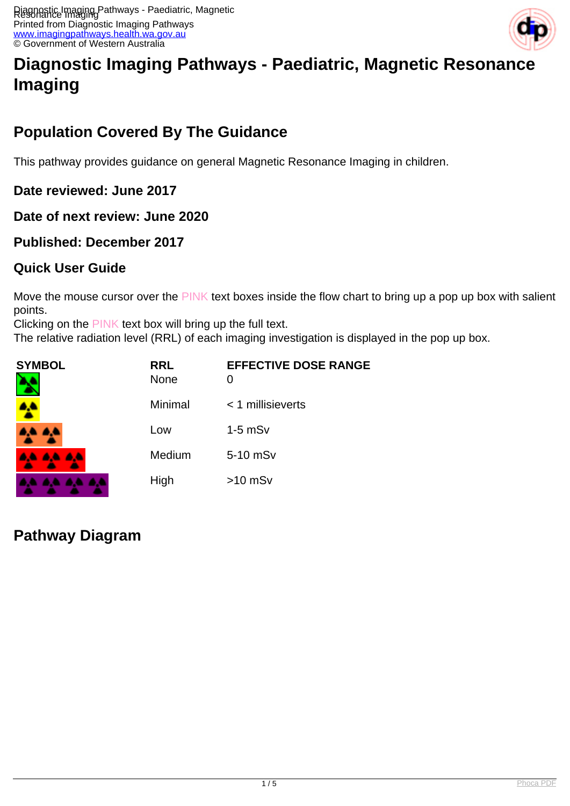

# **Diagnostic Imaging Pathways - Paediatric, Magnetic Resonance Imaging**

# **Population Covered By The Guidance**

This pathway provides guidance on general Magnetic Resonance Imaging in children.

**Date reviewed: June 2017**

**Date of next review: June 2020**

### **Published: December 2017**

### **Quick User Guide**

Move the mouse cursor over the PINK text boxes inside the flow chart to bring up a pop up box with salient points.

Clicking on the PINK text box will bring up the full text.

The relative radiation level (RRL) of each imaging investigation is displayed in the pop up box.

| SYMBOL          | <b>RRL</b><br><b>None</b> | <b>EFFECTIVE DOSE RANGE</b><br>O |
|-----------------|---------------------------|----------------------------------|
| 4               | Minimal                   | $<$ 1 millisieverts              |
| 4,4 A,4         | Low                       | $1-5$ mS $v$                     |
| <b>AA AA AA</b> | Medium                    | 5-10 mSv                         |
| .               | High                      | $>10$ mSv                        |

**Pathway Diagram**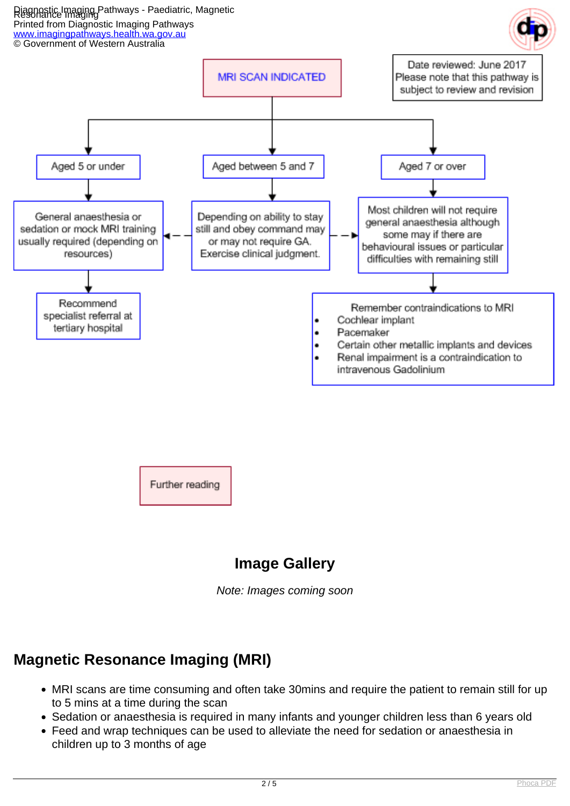Diagnostic Imaging Pathways - Paediatric, Magnetic Resonance Imaging Printed from Diagnostic Imaging Pathways [www.imagingpathways.health.wa.gov.au](http://www.imagingpathways.health.wa.gov.au/)





Note: Images coming soon

## **Magnetic Resonance Imaging (MRI)**

- MRI scans are time consuming and often take 30mins and require the patient to remain still for up to 5 mins at a time during the scan
- Sedation or anaesthesia is required in many infants and younger children less than 6 years old
- Feed and wrap techniques can be used to alleviate the need for sedation or anaesthesia in children up to 3 months of age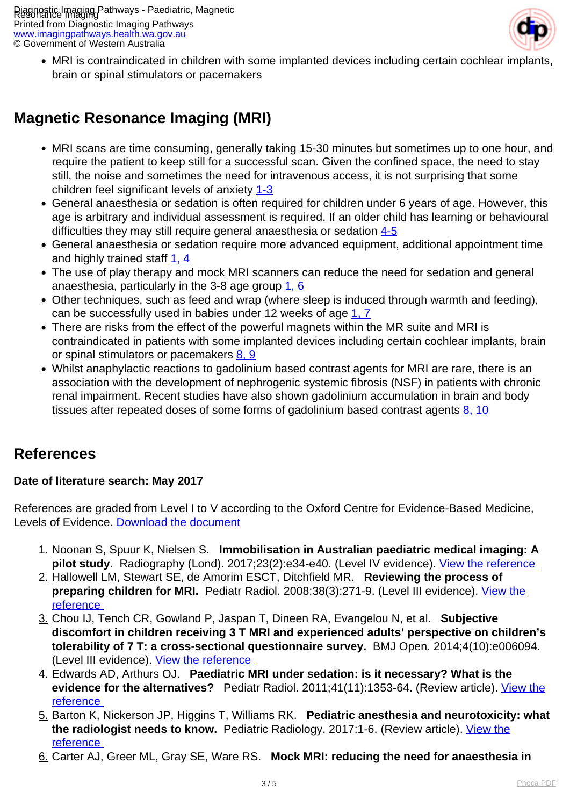Diagnostic Imaging Pathways - Paediatric, Magnetic Resonance Imaging Printed from Diagnostic Imaging Pathways [www.imagingpathways.health.wa.gov.au](http://www.imagingpathways.health.wa.gov.au/) © Government of Western Australia



MRI is contraindicated in children with some implanted devices including certain cochlear implants, brain or spinal stimulators or pacemakers

## **Magnetic Resonance Imaging (MRI)**

- MRI scans are time consuming, generally taking 15-30 minutes but sometimes up to one hour, and require the patient to keep still for a successful scan. Given the confined space, the need to stay still, the noise and sometimes the need for intravenous access, it is not surprising that some children feel significant levels of anxiety [1-3](index.php?option=com_content&view=article&id=237&tab=References#1)
- General anaesthesia or sedation is often required for children under 6 years of age. However, this age is arbitrary and individual assessment is required. If an older child has learning or behavioural difficulties they may still require general anaesthesia or sedation [4-5](index.php?option=com_content&view=article&id=237&tab=References#1)
- General anaesthesia or sedation require more advanced equipment, additional appointment time and highly trained staff  $1, 4$
- The use of play therapy and mock MRI scanners can reduce the need for sedation and general anaesthesia, particularly in the 3-8 age group  $1, 6$
- Other techniques, such as feed and wrap (where sleep is induced through warmth and feeding), can be successfully used in babies under 12 weeks of age [1, 7](index.php?option=com_content&view=article&id=237&tab=References#1)
- There are risks from the effect of the powerful magnets within the MR suite and MRI is contraindicated in patients with some implanted devices including certain cochlear implants, brain or spinal stimulators or pacemakers [8, 9](index.php?option=com_content&view=article&id=237&tab=References#1)
- Whilst anaphylactic reactions to gadolinium based contrast agents for MRI are rare, there is an association with the development of nephrogenic systemic fibrosis (NSF) in patients with chronic renal impairment. Recent studies have also shown gadolinium accumulation in brain and body tissues after repeated doses of some forms of gadolinium based contrast agents  $8, 10$

## **References**

### **Date of literature search: May 2017**

References are graded from Level I to V according to the Oxford Centre for Evidence-Based Medicine, Levels of Evidence. [Download the document](http://www.cebm.net/wp-content/uploads/2014/06/CEBM-Levels-of-Evidence-2.1.pdf)

- 1. Noonan S, Spuur K, Nielsen S. **Immobilisation in Australian paediatric medical imaging: A pilot study.** Radiography (Lond). 2017;23(2):e34-e40. (Level IV evidence). [View the reference](https://www.ncbi.nlm.nih.gov/pubmed/28390557 )
- 2. Hallowell LM, Stewart SE, de Amorim ESCT, Ditchfield MR. **Reviewing the process of preparing children for MRI.** Pediatr Radiol. 2008;38(3):271-9. (Level III evidence). [View the](https://www.ncbi.nlm.nih.gov/pubmed/18084752 ) [reference](https://www.ncbi.nlm.nih.gov/pubmed/18084752 )
- 3. Chou IJ, Tench CR, Gowland P, Jaspan T, Dineen RA, Evangelou N, et al. **Subjective discomfort in children receiving 3 T MRI and experienced adults' perspective on children's tolerability of 7 T: a cross-sectional questionnaire survey.** BMJ Open. 2014;4(10):e006094. (Level III evidence). [View the reference](https://www.ncbi.nlm.nih.gov/pmc/articles/PMC4201995 )
- 4. Edwards AD, Arthurs OJ. **Paediatric MRI under sedation: is it necessary? What is the evidence for the alternatives?** Pediatr Radiol. 2011;41(11):1353-64. (Review article). [View the](https://www.ncbi.nlm.nih.gov/pubmed/21678113 ) [reference](https://www.ncbi.nlm.nih.gov/pubmed/21678113 )
- 5. Barton K, Nickerson JP, Higgins T, Williams RK. **Pediatric anesthesia and neurotoxicity: what the radiologist needs to know.** Pediatric Radiology. 2017:1-6. (Review article). [View the](https://www.ncbi.nlm.nih.gov/pubmed/28470388 ) [reference](https://www.ncbi.nlm.nih.gov/pubmed/28470388 )
- 6. Carter AJ, Greer ML, Gray SE, Ware RS. **Mock MRI: reducing the need for anaesthesia in**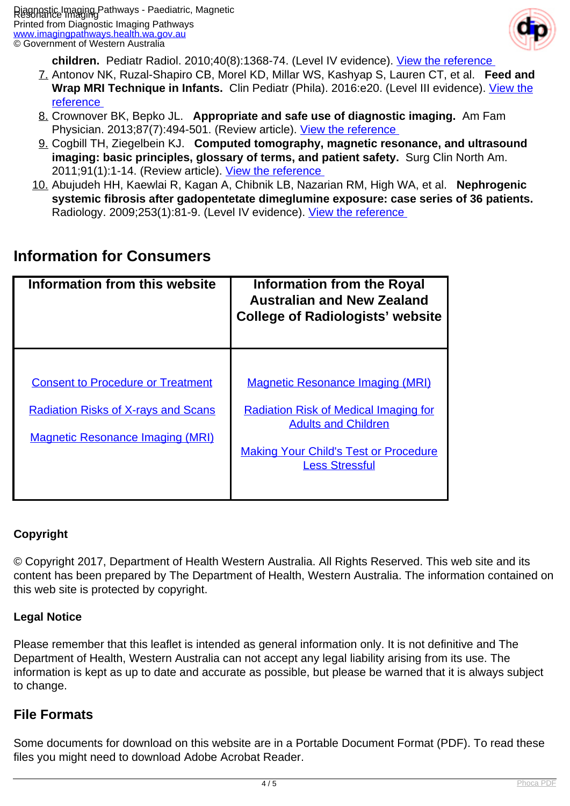

**children.** Pediatr Radiol. 2010;40(8):1368-74. (Level IV evidence). [View the reference](https://www.ncbi.nlm.nih.gov/pubmed/20186541 ) 

- 7. Antonov NK, Ruzal-Shapiro CB, Morel KD, Millar WS, Kashyap S, Lauren CT, et al. **Feed and** Wrap MRI Technique in Infants. Clin Pediatr (Phila). 2016:e20. (Level III evidence). [View the](https://www.ncbi.nlm.nih.gov/pubmed/27872353 ) [reference](https://www.ncbi.nlm.nih.gov/pubmed/27872353 )
- 8. Crownover BK, Bepko JL. **Appropriate and safe use of diagnostic imaging.** Am Fam Physician. 2013;87(7):494-501. (Review article). [View the reference](https://www.ncbi.nlm.nih.gov/pubmed/23547591 )
- 9. Cogbill TH, Ziegelbein KJ. **Computed tomography, magnetic resonance, and ultrasound imaging: basic principles, glossary of terms, and patient safety.** Surg Clin North Am. 2011;91(1):1-14. (Review article). View the reference
- 10. Abujudeh HH, Kaewlai R, Kagan A, Chibnik LB, Nazarian RM, High WA, et al. **Nephrogenic systemic fibrosis after gadopentetate dimeglumine exposure: case series of 36 patients.**  Radiology. 2009;253(1):81-9. (Level IV evidence). View the reference

## **Information for Consumers**

| Information from this website              | <b>Information from the Royal</b><br><b>Australian and New Zealand</b><br><b>College of Radiologists' website</b> |
|--------------------------------------------|-------------------------------------------------------------------------------------------------------------------|
|                                            |                                                                                                                   |
| <b>Consent to Procedure or Treatment</b>   | <b>Magnetic Resonance Imaging (MRI)</b>                                                                           |
| <b>Radiation Risks of X-rays and Scans</b> | <b>Radiation Risk of Medical Imaging for</b><br><b>Adults and Children</b>                                        |
| <b>Magnetic Resonance Imaging (MRI)</b>    |                                                                                                                   |
|                                            | <b>Making Your Child's Test or Procedure</b><br><b>Less Stressful</b>                                             |
|                                            |                                                                                                                   |

### **Copyright**

© Copyright 2017, Department of Health Western Australia. All Rights Reserved. This web site and its content has been prepared by The Department of Health, Western Australia. The information contained on this web site is protected by copyright.

### **Legal Notice**

Please remember that this leaflet is intended as general information only. It is not definitive and The Department of Health, Western Australia can not accept any legal liability arising from its use. The information is kept as up to date and accurate as possible, but please be warned that it is always subject to change.

### **File Formats**

Some documents for download on this website are in a Portable Document Format (PDF). To read these files you might need to download Adobe Acrobat Reader.